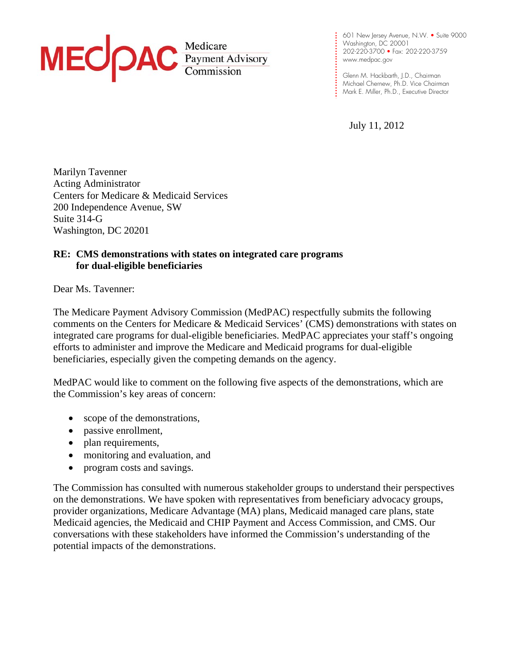

**. . . . .**  202-220-3700 • Fax: 202-220-3759 **. . . . .**  www.medpac.gov 601 New Jersey Avenue, N.W. • Suite 9000 Washington, DC 20001

**.**  Mark E. Miller, Ph.D., Executive Director Glenn M. Hackbarth, J.D., Chairman Michael Chernew, Ph.D. Vice Chairman

July 11, 2012

**. . . .** 

**. . . . . . . . .** 

**. .**

Marilyn Tavenner Acting Administrator Centers for Medicare & Medicaid Services 200 Independence Avenue, SW Suite 314-G Washington, DC 20201

#### **RE: CMS demonstrations with states on integrated care programs for dual-eligible beneficiaries**

Dear Ms. Tavenner:

The Medicare Payment Advisory Commission (MedPAC) respectfully submits the following comments on the Centers for Medicare & Medicaid Services' (CMS) demonstrations with states on integrated care programs for dual-eligible beneficiaries. MedPAC appreciates your staff's ongoing efforts to administer and improve the Medicare and Medicaid programs for dual-eligible beneficiaries, especially given the competing demands on the agency.

MedPAC would like to comment on the following five aspects of the demonstrations, which are the Commission's key areas of concern:

- scope of the demonstrations,
- passive enrollment,
- plan requirements,
- monitoring and evaluation, and
- program costs and savings.

The Commission has consulted with numerous stakeholder groups to understand their perspectives on the demonstrations. We have spoken with representatives from beneficiary advocacy groups, provider organizations, Medicare Advantage (MA) plans, Medicaid managed care plans, state Medicaid agencies, the Medicaid and CHIP Payment and Access Commission, and CMS. Our conversations with these stakeholders have informed the Commission's understanding of the potential impacts of the demonstrations.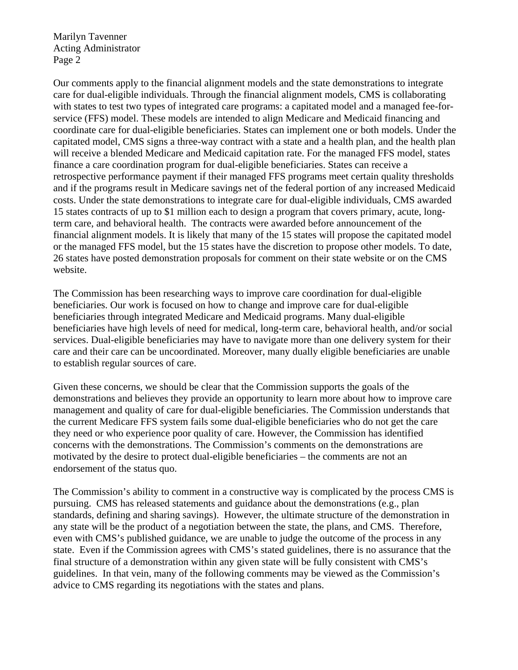Our comments apply to the financial alignment models and the state demonstrations to integrate care for dual-eligible individuals. Through the financial alignment models, CMS is collaborating with states to test two types of integrated care programs: a capitated model and a managed fee-forservice (FFS) model. These models are intended to align Medicare and Medicaid financing and coordinate care for dual-eligible beneficiaries. States can implement one or both models. Under the capitated model, CMS signs a three-way contract with a state and a health plan, and the health plan will receive a blended Medicare and Medicaid capitation rate. For the managed FFS model, states finance a care coordination program for dual-eligible beneficiaries. States can receive a retrospective performance payment if their managed FFS programs meet certain quality thresholds and if the programs result in Medicare savings net of the federal portion of any increased Medicaid costs. Under the state demonstrations to integrate care for dual-eligible individuals, CMS awarded 15 states contracts of up to \$1 million each to design a program that covers primary, acute, longterm care, and behavioral health. The contracts were awarded before announcement of the financial alignment models. It is likely that many of the 15 states will propose the capitated model or the managed FFS model, but the 15 states have the discretion to propose other models. To date, 26 states have posted demonstration proposals for comment on their state website or on the CMS website.

The Commission has been researching ways to improve care coordination for dual-eligible beneficiaries. Our work is focused on how to change and improve care for dual-eligible beneficiaries through integrated Medicare and Medicaid programs. Many dual-eligible beneficiaries have high levels of need for medical, long-term care, behavioral health, and/or social services. Dual-eligible beneficiaries may have to navigate more than one delivery system for their care and their care can be uncoordinated. Moreover, many dually eligible beneficiaries are unable to establish regular sources of care.

Given these concerns, we should be clear that the Commission supports the goals of the demonstrations and believes they provide an opportunity to learn more about how to improve care management and quality of care for dual-eligible beneficiaries. The Commission understands that the current Medicare FFS system fails some dual-eligible beneficiaries who do not get the care they need or who experience poor quality of care. However, the Commission has identified concerns with the demonstrations. The Commission's comments on the demonstrations are motivated by the desire to protect dual-eligible beneficiaries *–* the comments are not an endorsement of the status quo.

The Commission's ability to comment in a constructive way is complicated by the process CMS is pursuing. CMS has released statements and guidance about the demonstrations (e.g., plan standards, defining and sharing savings). However, the ultimate structure of the demonstration in any state will be the product of a negotiation between the state, the plans, and CMS. Therefore, even with CMS's published guidance, we are unable to judge the outcome of the process in any state. Even if the Commission agrees with CMS's stated guidelines, there is no assurance that the final structure of a demonstration within any given state will be fully consistent with CMS's guidelines. In that vein, many of the following comments may be viewed as the Commission's advice to CMS regarding its negotiations with the states and plans.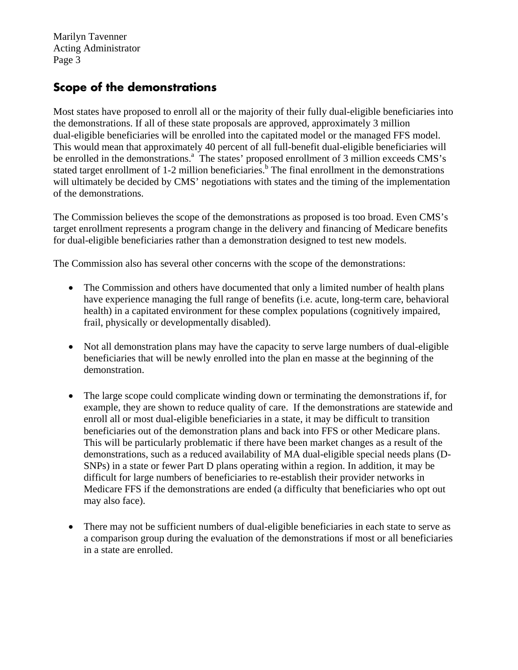## **Scope of the demonstrations**

Most states have proposed to enroll all or the majority of their fully dual-eligible beneficiaries into the demonstrations. If all of these state proposals are approved*,* approximately 3 million dual-eligible beneficiaries will be enrolled into the capitated model or the managed FFS model. This would mean that approximately 40 percent of all full-benefit dual-eligible beneficiaries will be enrolled in the demonstrations.<sup>a</sup> The states' proposed enrollment of 3 million exceeds CMS's stated target enrollment of 1-2 million beneficiaries.<sup>b</sup> The final enrollment in the demonstrations will ultimately be decided by CMS' negotiations with states and the timing of the implementation of the demonstrations.

The Commission believes the scope of the demonstrations as proposed is too broad. Even CMS's target enrollment represents a program change in the delivery and financing of Medicare benefits for dual-eligible beneficiaries rather than a demonstration designed to test new models.

The Commission also has several other concerns with the scope of the demonstrations:

- The Commission and others have documented that only a limited number of health plans have experience managing the full range of benefits (i.e. acute, long-term care, behavioral health) in a capitated environment for these complex populations (cognitively impaired, frail, physically or developmentally disabled).
- Not all demonstration plans may have the capacity to serve large numbers of dual-eligible beneficiaries that will be newly enrolled into the plan en masse at the beginning of the demonstration.
- The large scope could complicate winding down or terminating the demonstrations if, for example, they are shown to reduce quality of care. If the demonstrations are statewide and enroll all or most dual-eligible beneficiaries in a state, it may be difficult to transition beneficiaries out of the demonstration plans and back into FFS or other Medicare plans. This will be particularly problematic if there have been market changes as a result of the demonstrations, such as a reduced availability of MA dual-eligible special needs plans (D-SNPs) in a state or fewer Part D plans operating within a region. In addition, it may be difficult for large numbers of beneficiaries to re-establish their provider networks in Medicare FFS if the demonstrations are ended (a difficulty that beneficiaries who opt out may also face).
- There may not be sufficient numbers of dual-eligible beneficiaries in each state to serve as a comparison group during the evaluation of the demonstrations if most or all beneficiaries in a state are enrolled.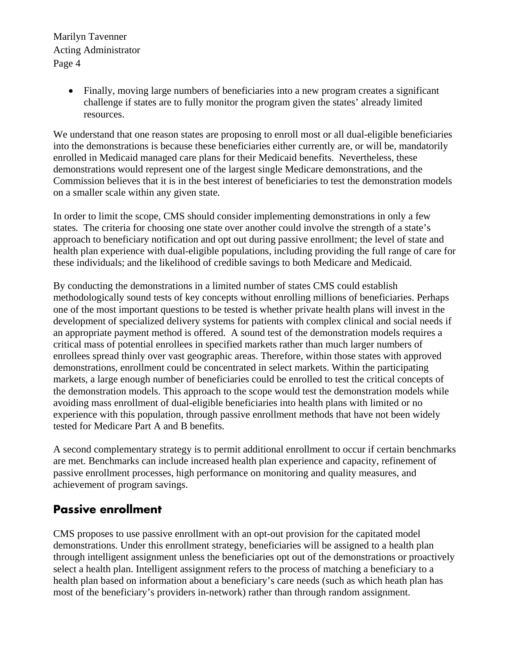> Finally, moving large numbers of beneficiaries into a new program creates a significant challenge if states are to fully monitor the program given the states' already limited resources.

We understand that one reason states are proposing to enroll most or all dual-eligible beneficiaries into the demonstrations is because these beneficiaries either currently are, or will be, mandatorily enrolled in Medicaid managed care plans for their Medicaid benefits. Nevertheless, these demonstrations would represent one of the largest single Medicare demonstrations, and the Commission believes that it is in the best interest of beneficiaries to test the demonstration models on a smaller scale within any given state.

In order to limit the scope, CMS should consider implementing demonstrations in only a few states*.* The criteria for choosing one state over another could involve the strength of a state's approach to beneficiary notification and opt out during passive enrollment; the level of state and health plan experience with dual-eligible populations, including providing the full range of care for these individuals; and the likelihood of credible savings to both Medicare and Medicaid.

By conducting the demonstrations in a limited number of states CMS could establish methodologically sound tests of key concepts without enrolling millions of beneficiaries. Perhaps one of the most important questions to be tested is whether private health plans will invest in the development of specialized delivery systems for patients with complex clinical and social needs if an appropriate payment method is offered. A sound test of the demonstration models requires a critical mass of potential enrollees in specified markets rather than much larger numbers of enrollees spread thinly over vast geographic areas. Therefore, within those states with approved demonstrations, enrollment could be concentrated in select markets. Within the participating markets, a large enough number of beneficiaries could be enrolled to test the critical concepts of the demonstration models. This approach to the scope would test the demonstration models while avoiding mass enrollment of dual-eligible beneficiaries into health plans with limited or no experience with this population, through passive enrollment methods that have not been widely tested for Medicare Part A and B benefits.

A second complementary strategy is to permit additional enrollment to occur if certain benchmarks are met. Benchmarks can include increased health plan experience and capacity, refinement of passive enrollment processes, high performance on monitoring and quality measures, and achievement of program savings.

## **Passive enrollment**

CMS proposes to use passive enrollment with an opt-out provision for the capitated model demonstrations. Under this enrollment strategy, beneficiaries will be assigned to a health plan through intelligent assignment unless the beneficiaries opt out of the demonstrations or proactively select a health plan. Intelligent assignment refers to the process of matching a beneficiary to a health plan based on information about a beneficiary's care needs (such as which heath plan has most of the beneficiary's providers in-network) rather than through random assignment.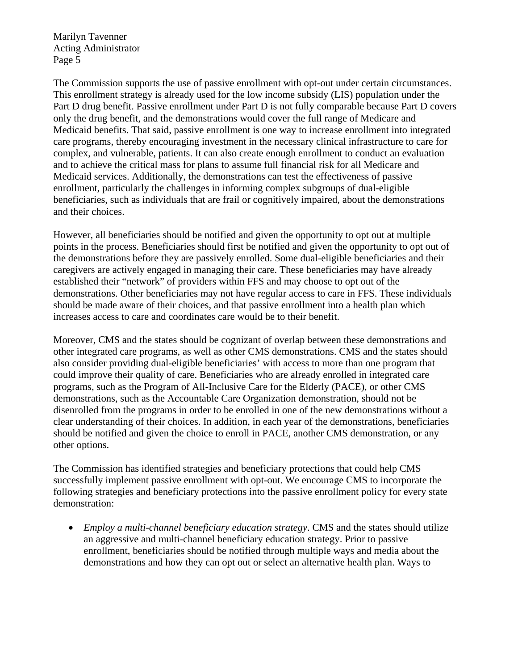The Commission supports the use of passive enrollment with opt-out under certain circumstances. This enrollment strategy is already used for the low income subsidy (LIS) population under the Part D drug benefit. Passive enrollment under Part D is not fully comparable because Part D covers only the drug benefit, and the demonstrations would cover the full range of Medicare and Medicaid benefits. That said, passive enrollment is one way to increase enrollment into integrated care programs, thereby encouraging investment in the necessary clinical infrastructure to care for complex, and vulnerable, patients. It can also create enough enrollment to conduct an evaluation and to achieve the critical mass for plans to assume full financial risk for all Medicare and Medicaid services. Additionally, the demonstrations can test the effectiveness of passive enrollment, particularly the challenges in informing complex subgroups of dual-eligible beneficiaries, such as individuals that are frail or cognitively impaired, about the demonstrations and their choices.

However, all beneficiaries should be notified and given the opportunity to opt out at multiple points in the process. Beneficiaries should first be notified and given the opportunity to opt out of the demonstrations before they are passively enrolled. Some dual-eligible beneficiaries and their caregivers are actively engaged in managing their care. These beneficiaries may have already established their "network" of providers within FFS and may choose to opt out of the demonstrations. Other beneficiaries may not have regular access to care in FFS. These individuals should be made aware of their choices, and that passive enrollment into a health plan which increases access to care and coordinates care would be to their benefit.

Moreover, CMS and the states should be cognizant of overlap between these demonstrations and other integrated care programs, as well as other CMS demonstrations. CMS and the states should also consider providing dual-eligible beneficiaries' with access to more than one program that could improve their quality of care. Beneficiaries who are already enrolled in integrated care programs, such as the Program of All-Inclusive Care for the Elderly (PACE), or other CMS demonstrations, such as the Accountable Care Organization demonstration, should not be disenrolled from the programs in order to be enrolled in one of the new demonstrations without a clear understanding of their choices. In addition, in each year of the demonstrations, beneficiaries should be notified and given the choice to enroll in PACE, another CMS demonstration, or any other options.

The Commission has identified strategies and beneficiary protections that could help CMS successfully implement passive enrollment with opt-out. We encourage CMS to incorporate the following strategies and beneficiary protections into the passive enrollment policy for every state demonstration:

 *Employ a multi-channel beneficiary education strategy*. CMS and the states should utilize an aggressive and multi-channel beneficiary education strategy. Prior to passive enrollment, beneficiaries should be notified through multiple ways and media about the demonstrations and how they can opt out or select an alternative health plan. Ways to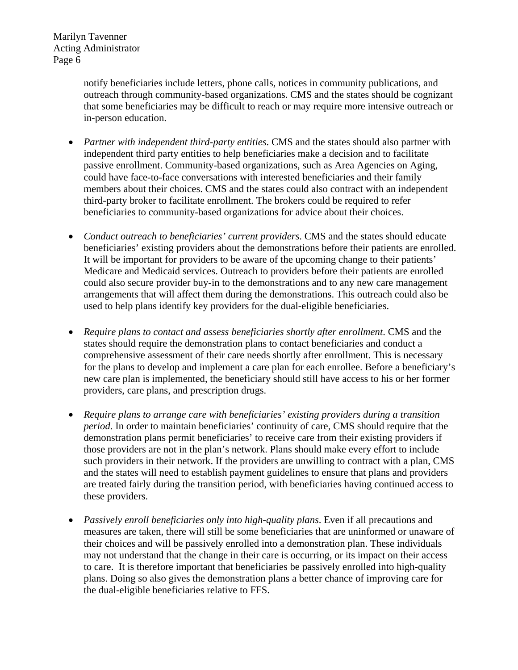> notify beneficiaries include letters, phone calls, notices in community publications, and outreach through community-based organizations. CMS and the states should be cognizant that some beneficiaries may be difficult to reach or may require more intensive outreach or in-person education.

- *Partner with independent third-party entities*. CMS and the states should also partner with independent third party entities to help beneficiaries make a decision and to facilitate passive enrollment. Community-based organizations, such as Area Agencies on Aging, could have face-to-face conversations with interested beneficiaries and their family members about their choices. CMS and the states could also contract with an independent third-party broker to facilitate enrollment. The brokers could be required to refer beneficiaries to community-based organizations for advice about their choices.
- *Conduct outreach to beneficiaries' current providers*. CMS and the states should educate beneficiaries' existing providers about the demonstrations before their patients are enrolled. It will be important for providers to be aware of the upcoming change to their patients' Medicare and Medicaid services. Outreach to providers before their patients are enrolled could also secure provider buy-in to the demonstrations and to any new care management arrangements that will affect them during the demonstrations. This outreach could also be used to help plans identify key providers for the dual-eligible beneficiaries.
- *Require plans to contact and assess beneficiaries shortly after enrollment*. CMS and the states should require the demonstration plans to contact beneficiaries and conduct a comprehensive assessment of their care needs shortly after enrollment. This is necessary for the plans to develop and implement a care plan for each enrollee. Before a beneficiary's new care plan is implemented, the beneficiary should still have access to his or her former providers, care plans, and prescription drugs.
- *Require plans to arrange care with beneficiaries' existing providers during a transition period*. In order to maintain beneficiaries' continuity of care, CMS should require that the demonstration plans permit beneficiaries' to receive care from their existing providers if those providers are not in the plan's network. Plans should make every effort to include such providers in their network. If the providers are unwilling to contract with a plan, CMS and the states will need to establish payment guidelines to ensure that plans and providers are treated fairly during the transition period, with beneficiaries having continued access to these providers.
- *Passively enroll beneficiaries only into high-quality plans*. Even if all precautions and measures are taken, there will still be some beneficiaries that are uninformed or unaware of their choices and will be passively enrolled into a demonstration plan. These individuals may not understand that the change in their care is occurring, or its impact on their access to care. It is therefore important that beneficiaries be passively enrolled into high-quality plans. Doing so also gives the demonstration plans a better chance of improving care for the dual-eligible beneficiaries relative to FFS.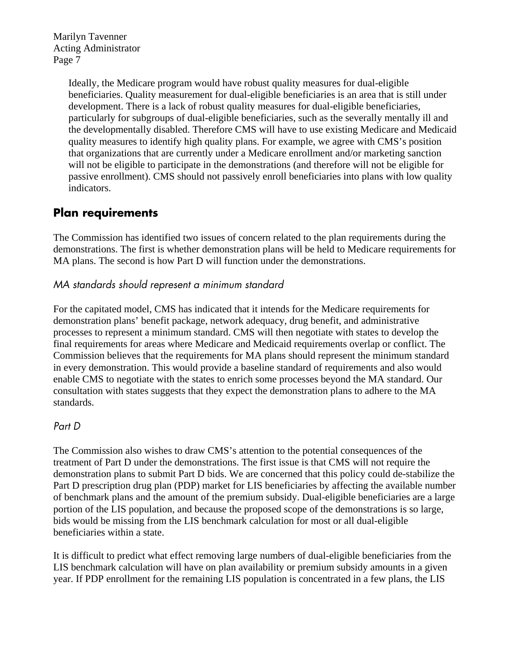> Ideally, the Medicare program would have robust quality measures for dual-eligible beneficiaries. Quality measurement for dual-eligible beneficiaries is an area that is still under development. There is a lack of robust quality measures for dual-eligible beneficiaries, particularly for subgroups of dual-eligible beneficiaries, such as the severally mentally ill and the developmentally disabled. Therefore CMS will have to use existing Medicare and Medicaid quality measures to identify high quality plans. For example, we agree with CMS's position that organizations that are currently under a Medicare enrollment and/or marketing sanction will not be eligible to participate in the demonstrations (and therefore will not be eligible for passive enrollment). CMS should not passively enroll beneficiaries into plans with low quality indicators.

## **Plan requirements**

The Commission has identified two issues of concern related to the plan requirements during the demonstrations. The first is whether demonstration plans will be held to Medicare requirements for MA plans. The second is how Part D will function under the demonstrations.

### MA standards should represent a minimum standard

For the capitated model, CMS has indicated that it intends for the Medicare requirements for demonstration plans' benefit package, network adequacy, drug benefit, and administrative processes to represent a minimum standard. CMS will then negotiate with states to develop the final requirements for areas where Medicare and Medicaid requirements overlap or conflict. The Commission believes that the requirements for MA plans should represent the minimum standard in every demonstration. This would provide a baseline standard of requirements and also would enable CMS to negotiate with the states to enrich some processes beyond the MA standard. Our consultation with states suggests that they expect the demonstration plans to adhere to the MA standards.

### Part D

The Commission also wishes to draw CMS's attention to the potential consequences of the treatment of Part D under the demonstrations. The first issue is that CMS will not require the demonstration plans to submit Part D bids. We are concerned that this policy could de-stabilize the Part D prescription drug plan (PDP) market for LIS beneficiaries by affecting the available number of benchmark plans and the amount of the premium subsidy. Dual-eligible beneficiaries are a large portion of the LIS population, and because the proposed scope of the demonstrations is so large, bids would be missing from the LIS benchmark calculation for most or all dual-eligible beneficiaries within a state.

It is difficult to predict what effect removing large numbers of dual-eligible beneficiaries from the LIS benchmark calculation will have on plan availability or premium subsidy amounts in a given year. If PDP enrollment for the remaining LIS population is concentrated in a few plans, the LIS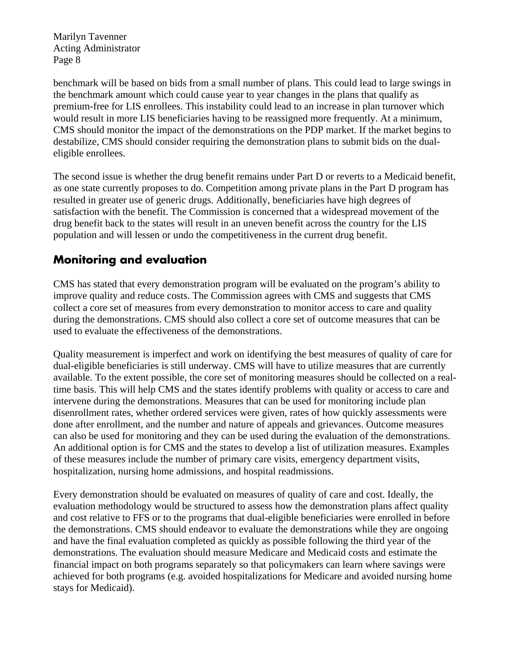benchmark will be based on bids from a small number of plans. This could lead to large swings in the benchmark amount which could cause year to year changes in the plans that qualify as premium-free for LIS enrollees. This instability could lead to an increase in plan turnover which would result in more LIS beneficiaries having to be reassigned more frequently. At a minimum, CMS should monitor the impact of the demonstrations on the PDP market. If the market begins to destabilize, CMS should consider requiring the demonstration plans to submit bids on the dualeligible enrollees.

The second issue is whether the drug benefit remains under Part D or reverts to a Medicaid benefit, as one state currently proposes to do. Competition among private plans in the Part D program has resulted in greater use of generic drugs. Additionally, beneficiaries have high degrees of satisfaction with the benefit. The Commission is concerned that a widespread movement of the drug benefit back to the states will result in an uneven benefit across the country for the LIS population and will lessen or undo the competitiveness in the current drug benefit.

# **Monitoring and evaluation**

CMS has stated that every demonstration program will be evaluated on the program's ability to improve quality and reduce costs. The Commission agrees with CMS and suggests that CMS collect a core set of measures from every demonstration to monitor access to care and quality during the demonstrations. CMS should also collect a core set of outcome measures that can be used to evaluate the effectiveness of the demonstrations.

Quality measurement is imperfect and work on identifying the best measures of quality of care for dual-eligible beneficiaries is still underway. CMS will have to utilize measures that are currently available. To the extent possible, the core set of monitoring measures should be collected on a realtime basis. This will help CMS and the states identify problems with quality or access to care and intervene during the demonstrations. Measures that can be used for monitoring include plan disenrollment rates, whether ordered services were given, rates of how quickly assessments were done after enrollment, and the number and nature of appeals and grievances. Outcome measures can also be used for monitoring and they can be used during the evaluation of the demonstrations. An additional option is for CMS and the states to develop a list of utilization measures. Examples of these measures include the number of primary care visits, emergency department visits, hospitalization, nursing home admissions, and hospital readmissions.

Every demonstration should be evaluated on measures of quality of care and cost. Ideally, the evaluation methodology would be structured to assess how the demonstration plans affect quality and cost relative to FFS or to the programs that dual-eligible beneficiaries were enrolled in before the demonstrations. CMS should endeavor to evaluate the demonstrations while they are ongoing and have the final evaluation completed as quickly as possible following the third year of the demonstrations. The evaluation should measure Medicare and Medicaid costs and estimate the financial impact on both programs separately so that policymakers can learn where savings were achieved for both programs (e.g. avoided hospitalizations for Medicare and avoided nursing home stays for Medicaid).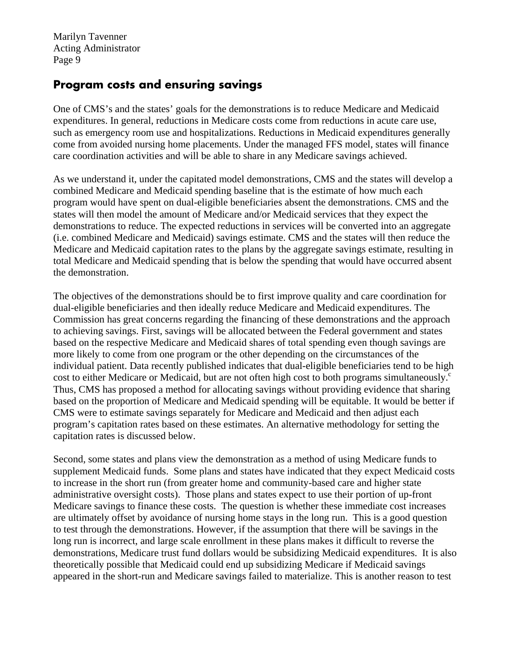## **Program costs and ensuring savings**

One of CMS's and the states' goals for the demonstrations is to reduce Medicare and Medicaid expenditures. In general, reductions in Medicare costs come from reductions in acute care use, such as emergency room use and hospitalizations. Reductions in Medicaid expenditures generally come from avoided nursing home placements. Under the managed FFS model, states will finance care coordination activities and will be able to share in any Medicare savings achieved.

As we understand it, under the capitated model demonstrations, CMS and the states will develop a combined Medicare and Medicaid spending baseline that is the estimate of how much each program would have spent on dual-eligible beneficiaries absent the demonstrations. CMS and the states will then model the amount of Medicare and/or Medicaid services that they expect the demonstrations to reduce. The expected reductions in services will be converted into an aggregate (i.e. combined Medicare and Medicaid) savings estimate. CMS and the states will then reduce the Medicare and Medicaid capitation rates to the plans by the aggregate savings estimate, resulting in total Medicare and Medicaid spending that is below the spending that would have occurred absent the demonstration.

The objectives of the demonstrations should be to first improve quality and care coordination for dual-eligible beneficiaries and then ideally reduce Medicare and Medicaid expenditures. The Commission has great concerns regarding the financing of these demonstrations and the approach to achieving savings. First, savings will be allocated between the Federal government and states based on the respective Medicare and Medicaid shares of total spending even though savings are more likely to come from one program or the other depending on the circumstances of the individual patient. Data recently published indicates that dual-eligible beneficiaries tend to be high cost to either Medicare or Medicaid, but are not often high cost to both programs simultaneously.<sup>c</sup> Thus, CMS has proposed a method for allocating savings without providing evidence that sharing based on the proportion of Medicare and Medicaid spending will be equitable. It would be better if CMS were to estimate savings separately for Medicare and Medicaid and then adjust each program's capitation rates based on these estimates. An alternative methodology for setting the capitation rates is discussed below.

Second, some states and plans view the demonstration as a method of using Medicare funds to supplement Medicaid funds. Some plans and states have indicated that they expect Medicaid costs to increase in the short run (from greater home and community-based care and higher state administrative oversight costs). Those plans and states expect to use their portion of up-front Medicare savings to finance these costs. The question is whether these immediate cost increases are ultimately offset by avoidance of nursing home stays in the long run. This is a good question to test through the demonstrations. However, if the assumption that there will be savings in the long run is incorrect, and large scale enrollment in these plans makes it difficult to reverse the demonstrations, Medicare trust fund dollars would be subsidizing Medicaid expenditures. It is also theoretically possible that Medicaid could end up subsidizing Medicare if Medicaid savings appeared in the short-run and Medicare savings failed to materialize. This is another reason to test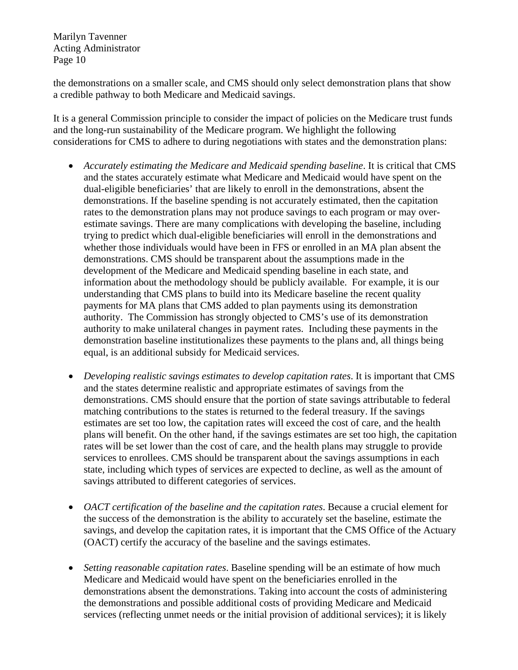the demonstrations on a smaller scale, and CMS should only select demonstration plans that show a credible pathway to both Medicare and Medicaid savings.

It is a general Commission principle to consider the impact of policies on the Medicare trust funds and the long-run sustainability of the Medicare program. We highlight the following considerations for CMS to adhere to during negotiations with states and the demonstration plans:

- *Accurately estimating the Medicare and Medicaid spending baseline*. It is critical that CMS and the states accurately estimate what Medicare and Medicaid would have spent on the dual-eligible beneficiaries' that are likely to enroll in the demonstrations, absent the demonstrations. If the baseline spending is not accurately estimated, then the capitation rates to the demonstration plans may not produce savings to each program or may overestimate savings. There are many complications with developing the baseline, including trying to predict which dual-eligible beneficiaries will enroll in the demonstrations and whether those individuals would have been in FFS or enrolled in an MA plan absent the demonstrations. CMS should be transparent about the assumptions made in the development of the Medicare and Medicaid spending baseline in each state, and information about the methodology should be publicly available. For example, it is our understanding that CMS plans to build into its Medicare baseline the recent quality payments for MA plans that CMS added to plan payments using its demonstration authority. The Commission has strongly objected to CMS's use of its demonstration authority to make unilateral changes in payment rates. Including these payments in the demonstration baseline institutionalizes these payments to the plans and, all things being equal, is an additional subsidy for Medicaid services.
- *Developing realistic savings estimates to develop capitation rates*. It is important that CMS and the states determine realistic and appropriate estimates of savings from the demonstrations. CMS should ensure that the portion of state savings attributable to federal matching contributions to the states is returned to the federal treasury. If the savings estimates are set too low, the capitation rates will exceed the cost of care, and the health plans will benefit. On the other hand, if the savings estimates are set too high, the capitation rates will be set lower than the cost of care, and the health plans may struggle to provide services to enrollees. CMS should be transparent about the savings assumptions in each state, including which types of services are expected to decline, as well as the amount of savings attributed to different categories of services.
- *OACT certification of the baseline and the capitation rates*. Because a crucial element for the success of the demonstration is the ability to accurately set the baseline, estimate the savings, and develop the capitation rates, it is important that the CMS Office of the Actuary (OACT) certify the accuracy of the baseline and the savings estimates.
- *Setting reasonable capitation rates*. Baseline spending will be an estimate of how much Medicare and Medicaid would have spent on the beneficiaries enrolled in the demonstrations absent the demonstrations. Taking into account the costs of administering the demonstrations and possible additional costs of providing Medicare and Medicaid services (reflecting unmet needs or the initial provision of additional services); it is likely